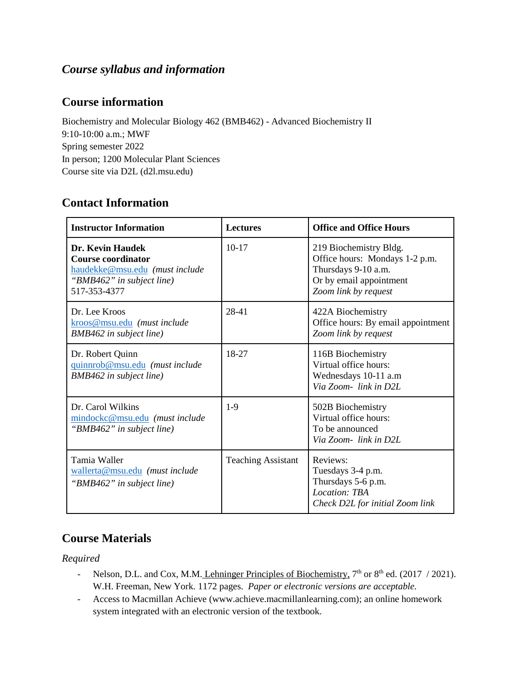# *Course syllabus and information*

# **Course information**

Biochemistry and Molecular Biology 462 (BMB462) - Advanced Biochemistry II 9:10-10:00 a.m.; MWF Spring semester 2022 In person; 1200 Molecular Plant Sciences Course site via D2L (d2l.msu.edu)

# **Contact Information**

| <b>Instructor Information</b>                                                                                                | <b>Lectures</b>           | <b>Office and Office Hours</b>                                                                                                     |
|------------------------------------------------------------------------------------------------------------------------------|---------------------------|------------------------------------------------------------------------------------------------------------------------------------|
| <b>Dr. Kevin Haudek</b><br>Course coordinator<br>haudekke@msu.edu (must include<br>"BMB462" in subject line)<br>517-353-4377 | $10-17$                   | 219 Biochemistry Bldg.<br>Office hours: Mondays 1-2 p.m.<br>Thursdays 9-10 a.m.<br>Or by email appointment<br>Zoom link by request |
| Dr. Lee Kroos<br>kroos@msu.edu (must include<br>BMB462 in subject line)                                                      | 28-41                     | 422A Biochemistry<br>Office hours: By email appointment<br>Zoom link by request                                                    |
| Dr. Robert Quinn<br>quinnrob@msu.edu (must include<br>BMB462 in subject line)                                                | 18-27                     | 116B Biochemistry<br>Virtual office hours:<br>Wednesdays 10-11 a.m<br>Via Zoom-link in D2L                                         |
| Dr. Carol Wilkins<br>mindockc@msu.edu (must include<br>"BMB462" in subject line)                                             | $1-9$                     | 502B Biochemistry<br>Virtual office hours:<br>To be announced<br>Via Zoom-link in D2L                                              |
| Tamia Waller<br>wallerta@msu.edu (must include<br>"BMB462" in subject line)                                                  | <b>Teaching Assistant</b> | Reviews:<br>Tuesdays 3-4 p.m.<br>Thursdays 5-6 p.m.<br>Location: TBA<br>Check D2L for initial Zoom link                            |

# **Course Materials**

*Required*

- Nelson, D.L. and Cox, M.M. Lehninger Principles of Biochemistry,  $7<sup>th</sup>$  or  $8<sup>th</sup>$  ed. (2017 / 2021). W.H. Freeman, New York. 1172 pages. *Paper or electronic versions are acceptable.*
- Access to Macmillan Achieve (www.achieve.macmillanlearning.com); an online homework system integrated with an electronic version of the textbook.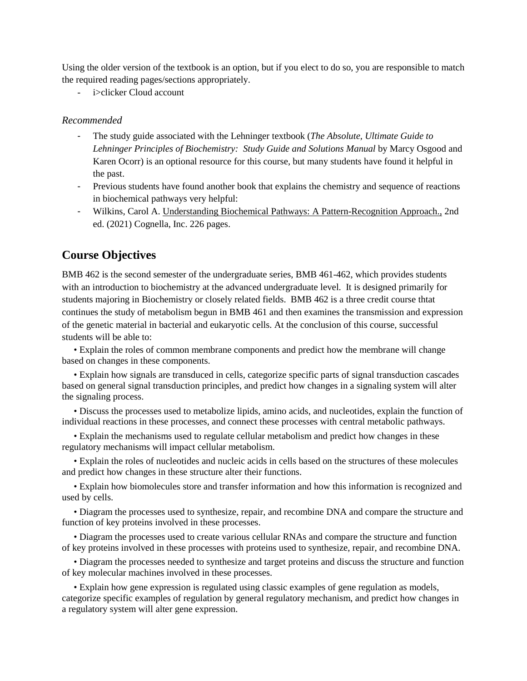Using the older version of the textbook is an option, but if you elect to do so, you are responsible to match the required reading pages/sections appropriately.

i>clicker Cloud account

#### *Recommended*

- The study guide associated with the Lehninger textbook (*The Absolute, Ultimate Guide to Lehninger Principles of Biochemistry: Study Guide and Solutions Manual* by Marcy Osgood and Karen Ocorr) is an optional resource for this course, but many students have found it helpful in the past.
- Previous students have found another book that explains the chemistry and sequence of reactions in biochemical pathways very helpful:
- Wilkins, Carol A. Understanding Biochemical Pathways: A Pattern-Recognition Approach., 2nd ed. (2021) Cognella, Inc. 226 pages.

### **Course Objectives**

BMB 462 is the second semester of the undergraduate series, BMB 461-462, which provides students with an introduction to biochemistry at the advanced undergraduate level. It is designed primarily for students majoring in Biochemistry or closely related fields. BMB 462 is a three credit course thtat continues the study of metabolism begun in BMB 461 and then examines the transmission and expression of the genetic material in bacterial and eukaryotic cells. At the conclusion of this course, successful students will be able to:

• Explain the roles of common membrane components and predict how the membrane will change based on changes in these components.

• Explain how signals are transduced in cells, categorize specific parts of signal transduction cascades based on general signal transduction principles, and predict how changes in a signaling system will alter the signaling process.

• Discuss the processes used to metabolize lipids, amino acids, and nucleotides, explain the function of individual reactions in these processes, and connect these processes with central metabolic pathways.

• Explain the mechanisms used to regulate cellular metabolism and predict how changes in these regulatory mechanisms will impact cellular metabolism.

• Explain the roles of nucleotides and nucleic acids in cells based on the structures of these molecules and predict how changes in these structure alter their functions.

• Explain how biomolecules store and transfer information and how this information is recognized and used by cells.

• Diagram the processes used to synthesize, repair, and recombine DNA and compare the structure and function of key proteins involved in these processes.

• Diagram the processes used to create various cellular RNAs and compare the structure and function of key proteins involved in these processes with proteins used to synthesize, repair, and recombine DNA.

• Diagram the processes needed to synthesize and target proteins and discuss the structure and function of key molecular machines involved in these processes.

• Explain how gene expression is regulated using classic examples of gene regulation as models, categorize specific examples of regulation by general regulatory mechanism, and predict how changes in a regulatory system will alter gene expression.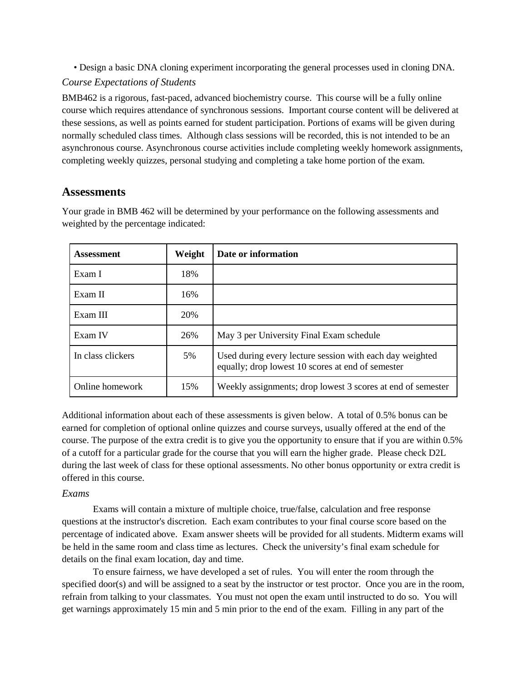• Design a basic DNA cloning experiment incorporating the general processes used in cloning DNA.

#### *Course Expectations of Students*

BMB462 is a rigorous, fast-paced, advanced biochemistry course. This course will be a fully online course which requires attendance of synchronous sessions. Important course content will be delivered at these sessions, as well as points earned for student participation. Portions of exams will be given during normally scheduled class times. Although class sessions will be recorded, this is not intended to be an asynchronous course. Asynchronous course activities include completing weekly homework assignments, completing weekly quizzes, personal studying and completing a take home portion of the exam.

# **Assessments**

Your grade in BMB 462 will be determined by your performance on the following assessments and weighted by the percentage indicated:

| <b>Assessment</b> | Weight | Date or information                                                                                           |
|-------------------|--------|---------------------------------------------------------------------------------------------------------------|
| Exam I            | 18%    |                                                                                                               |
| Exam II           | 16%    |                                                                                                               |
| Exam III          | 20%    |                                                                                                               |
| Exam IV           | 26%    | May 3 per University Final Exam schedule                                                                      |
| In class clickers | 5%     | Used during every lecture session with each day weighted<br>equally; drop lowest 10 scores at end of semester |
| Online homework   | 15%    | Weekly assignments; drop lowest 3 scores at end of semester                                                   |

Additional information about each of these assessments is given below. A total of 0.5% bonus can be earned for completion of optional online quizzes and course surveys, usually offered at the end of the course. The purpose of the extra credit is to give you the opportunity to ensure that if you are within 0.5% of a cutoff for a particular grade for the course that you will earn the higher grade. Please check D2L during the last week of class for these optional assessments. No other bonus opportunity or extra credit is offered in this course.

# *Exams*

Exams will contain a mixture of multiple choice, true/false, calculation and free response questions at the instructor's discretion. Each exam contributes to your final course score based on the percentage of indicated above. Exam answer sheets will be provided for all students. Midterm exams will be held in the same room and class time as lectures. Check the university's final exam schedule for details on the final exam location, day and time.

To ensure fairness, we have developed a set of rules. You will enter the room through the specified door(s) and will be assigned to a seat by the instructor or test proctor. Once you are in the room, refrain from talking to your classmates. You must not open the exam until instructed to do so. You will get warnings approximately 15 min and 5 min prior to the end of the exam. Filling in any part of the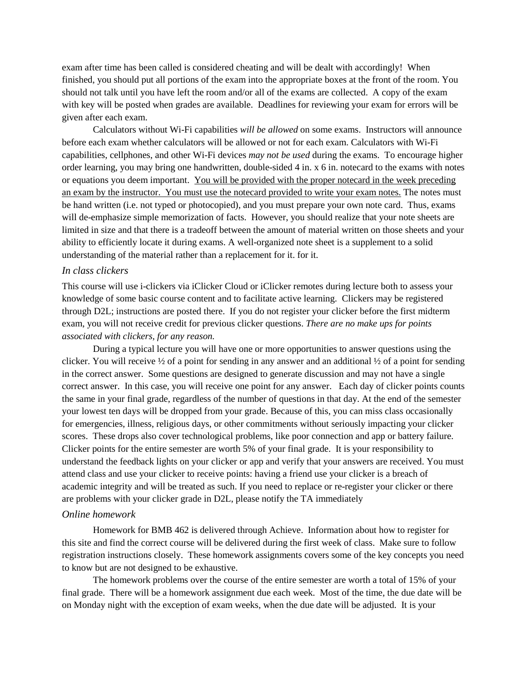exam after time has been called is considered cheating and will be dealt with accordingly! When finished, you should put all portions of the exam into the appropriate boxes at the front of the room. You should not talk until you have left the room and/or all of the exams are collected. A copy of the exam with key will be posted when grades are available. Deadlines for reviewing your exam for errors will be given after each exam.

Calculators without Wi-Fi capabilities *will be allowed* on some exams. Instructors will announce before each exam whether calculators will be allowed or not for each exam. Calculators with Wi-Fi capabilities, cellphones, and other Wi-Fi devices *may not be used* during the exams. To encourage higher order learning, you may bring one handwritten, double-sided 4 in. x 6 in. notecard to the exams with notes or equations you deem important. You will be provided with the proper notecard in the week preceding an exam by the instructor. You must use the notecard provided to write your exam notes. The notes must be hand written (i.e. not typed or photocopied), and you must prepare your own note card. Thus, exams will de-emphasize simple memorization of facts. However, you should realize that your note sheets are limited in size and that there is a tradeoff between the amount of material written on those sheets and your ability to efficiently locate it during exams. A well-organized note sheet is a supplement to a solid understanding of the material rather than a replacement for it. for it.

#### *In class clickers*

This course will use i-clickers via iClicker Cloud or iClicker remotes during lecture both to assess your knowledge of some basic course content and to facilitate active learning. Clickers may be registered through D2L; instructions are posted there. If you do not register your clicker before the first midterm exam, you will not receive credit for previous clicker questions. *There are no make ups for points associated with clickers, for any reason.*

During a typical lecture you will have one or more opportunities to answer questions using the clicker. You will receive  $\frac{1}{2}$  of a point for sending in any answer and an additional  $\frac{1}{2}$  of a point for sending in the correct answer. Some questions are designed to generate discussion and may not have a single correct answer. In this case, you will receive one point for any answer. Each day of clicker points counts the same in your final grade, regardless of the number of questions in that day. At the end of the semester your lowest ten days will be dropped from your grade. Because of this, you can miss class occasionally for emergencies, illness, religious days, or other commitments without seriously impacting your clicker scores. These drops also cover technological problems, like poor connection and app or battery failure. Clicker points for the entire semester are worth 5% of your final grade. It is your responsibility to understand the feedback lights on your clicker or app and verify that your answers are received. You must attend class and use your clicker to receive points: having a friend use your clicker is a breach of academic integrity and will be treated as such. If you need to replace or re-register your clicker or there are problems with your clicker grade in D2L, please notify the TA immediately

#### *Online homework*

Homework for BMB 462 is delivered through Achieve. Information about how to register for this site and find the correct course will be delivered during the first week of class. Make sure to follow registration instructions closely. These homework assignments covers some of the key concepts you need to know but are not designed to be exhaustive.

The homework problems over the course of the entire semester are worth a total of 15% of your final grade. There will be a homework assignment due each week. Most of the time, the due date will be on Monday night with the exception of exam weeks, when the due date will be adjusted. It is your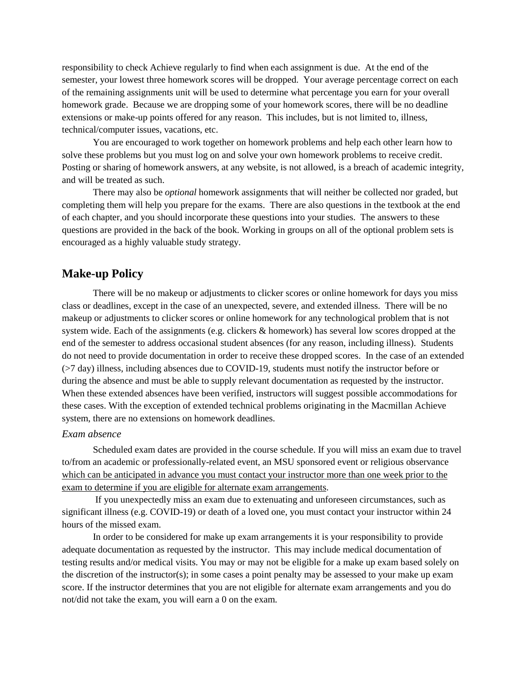responsibility to check Achieve regularly to find when each assignment is due. At the end of the semester, your lowest three homework scores will be dropped. Your average percentage correct on each of the remaining assignments unit will be used to determine what percentage you earn for your overall homework grade. Because we are dropping some of your homework scores, there will be no deadline extensions or make-up points offered for any reason. This includes, but is not limited to, illness, technical/computer issues, vacations, etc.

You are encouraged to work together on homework problems and help each other learn how to solve these problems but you must log on and solve your own homework problems to receive credit. Posting or sharing of homework answers, at any website, is not allowed, is a breach of academic integrity, and will be treated as such.

There may also be *optional* homework assignments that will neither be collected nor graded, but completing them will help you prepare for the exams. There are also questions in the textbook at the end of each chapter, and you should incorporate these questions into your studies. The answers to these questions are provided in the back of the book. Working in groups on all of the optional problem sets is encouraged as a highly valuable study strategy.

#### **Make-up Policy**

There will be no makeup or adjustments to clicker scores or online homework for days you miss class or deadlines, except in the case of an unexpected, severe, and extended illness. There will be no makeup or adjustments to clicker scores or online homework for any technological problem that is not system wide. Each of the assignments (e.g. clickers & homework) has several low scores dropped at the end of the semester to address occasional student absences (for any reason, including illness). Students do not need to provide documentation in order to receive these dropped scores. In the case of an extended (>7 day) illness, including absences due to COVID-19, students must notify the instructor before or during the absence and must be able to supply relevant documentation as requested by the instructor. When these extended absences have been verified, instructors will suggest possible accommodations for these cases. With the exception of extended technical problems originating in the Macmillan Achieve system, there are no extensions on homework deadlines.

#### *Exam absence*

Scheduled exam dates are provided in the course schedule. If you will miss an exam due to travel to/from an academic or professionally-related event, an MSU sponsored event or religious observance which can be anticipated in advance you must contact your instructor more than one week prior to the exam to determine if you are eligible for alternate exam arrangements.

If you unexpectedly miss an exam due to extenuating and unforeseen circumstances, such as significant illness (e.g. COVID-19) or death of a loved one, you must contact your instructor within 24 hours of the missed exam.

In order to be considered for make up exam arrangements it is your responsibility to provide adequate documentation as requested by the instructor. This may include medical documentation of testing results and/or medical visits. You may or may not be eligible for a make up exam based solely on the discretion of the instructor(s); in some cases a point penalty may be assessed to your make up exam score. If the instructor determines that you are not eligible for alternate exam arrangements and you do not/did not take the exam, you will earn a 0 on the exam.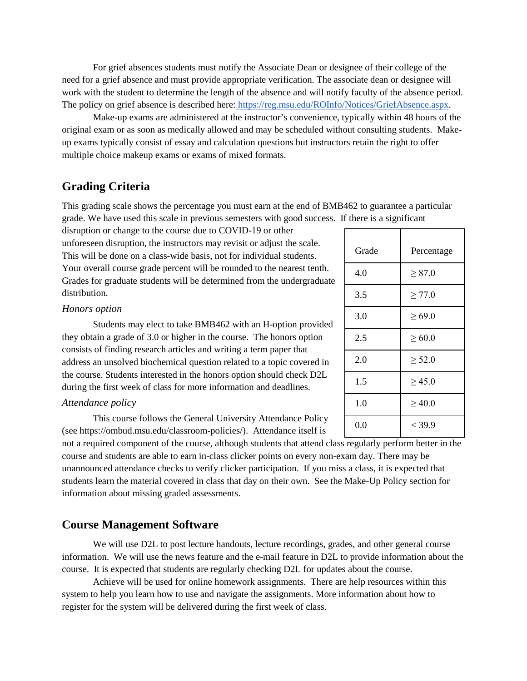For grief absences students must notify the Associate Dean or designee of their college of the need for a grief absence and must provide appropriate verification. The associate dean or designee will work with the student to determine the length of the absence and will notify faculty of the absence period. The policy on grief absence is described here: [https://reg.msu.edu/ROInfo/Notices/GriefAbsence.aspx.](https://reg.msu.edu/ROInfo/Notices/GriefAbsence.aspx)

Make-up exams are administered at the instructor's convenience, typically within 48 hours of the original exam or as soon as medically allowed and may be scheduled without consulting students. Makeup exams typically consist of essay and calculation questions but instructors retain the right to offer multiple choice makeup exams or exams of mixed formats.

# **Grading Criteria**

This grading scale shows the percentage you must earn at the end of BMB462 to guarantee a particular grade. We have used this scale in previous semesters with good success. If there is a significant

disruption or change to the course due to COVID-19 or other unforeseen disruption, the instructors may revisit or adjust the scale. This will be done on a class-wide basis, not for individual students. Your overall course grade percent will be rounded to the nearest tenth. Grades for graduate students will be determined from the undergraduate distribution.

#### *Honors option*

Students may elect to take BMB462 with an H-option provided they obtain a grade of 3.0 or higher in the course. The honors option consists of finding research articles and writing a term paper that address an unsolved biochemical question related to a topic covered in the course. Students interested in the honors option should check D2L during the first week of class for more information and deadlines.

#### *Attendance policy*

This course follows the General University Attendance Policy (see https://ombud.msu.edu/classroom-policies/). Attendance itself is

not a required component of the course, although students that attend class regularly perform better in the course and students are able to earn in-class clicker points on every non-exam day. There may be unannounced attendance checks to verify clicker participation. If you miss a class, it is expected that students learn the material covered in class that day on their own. See the Make-Up Policy section for information about missing graded assessments.

#### **Course Management Software**

We will use D2L to post lecture handouts, lecture recordings, grades, and other general course information. We will use the news feature and the e-mail feature in D2L to provide information about the course. It is expected that students are regularly checking D2L for updates about the course.

Achieve will be used for online homework assignments. There are help resources within this system to help you learn how to use and navigate the assignments. More information about how to register for the system will be delivered during the first week of class.

| Grade | Percentage  |
|-------|-------------|
| 4.0   | $\geq 87.0$ |
| 3.5   | $\geq 77.0$ |
| 3.0   | $\geq 69.0$ |
| 2.5   | $\geq 60.0$ |
| 2.0   | $\geq 52.0$ |
| 1.5   | > 45.0      |
| 1.0   | >40.0       |
| 0.0   | $<$ 39.9    |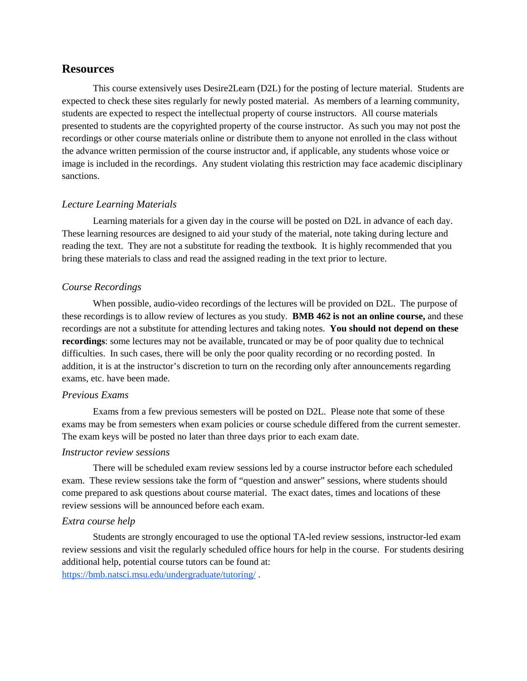#### **Resources**

This course extensively uses Desire2Learn (D2L) for the posting of lecture material. Students are expected to check these sites regularly for newly posted material. As members of a learning community, students are expected to respect the intellectual property of course instructors. All course materials presented to students are the copyrighted property of the course instructor. As such you may not post the recordings or other course materials online or distribute them to anyone not enrolled in the class without the advance written permission of the course instructor and, if applicable, any students whose voice or image is included in the recordings. Any student violating this restriction may face academic disciplinary sanctions.

#### *Lecture Learning Materials*

Learning materials for a given day in the course will be posted on D2L in advance of each day. These learning resources are designed to aid your study of the material, note taking during lecture and reading the text. They are not a substitute for reading the textbook. It is highly recommended that you bring these materials to class and read the assigned reading in the text prior to lecture.

#### *Course Recordings*

When possible, audio-video recordings of the lectures will be provided on D2L. The purpose of these recordings is to allow review of lectures as you study. **BMB 462 is not an online course,** and these recordings are not a substitute for attending lectures and taking notes. **You should not depend on these recordings**: some lectures may not be available, truncated or may be of poor quality due to technical difficulties. In such cases, there will be only the poor quality recording or no recording posted. In addition, it is at the instructor's discretion to turn on the recording only after announcements regarding exams, etc. have been made.

#### *Previous Exams*

Exams from a few previous semesters will be posted on D2L. Please note that some of these exams may be from semesters when exam policies or course schedule differed from the current semester. The exam keys will be posted no later than three days prior to each exam date.

#### *Instructor review sessions*

There will be scheduled exam review sessions led by a course instructor before each scheduled exam. These review sessions take the form of "question and answer" sessions, where students should come prepared to ask questions about course material. The exact dates, times and locations of these review sessions will be announced before each exam.

#### *Extra course help*

Students are strongly encouraged to use the optional TA-led review sessions, instructor-led exam review sessions and visit the regularly scheduled office hours for help in the course. For students desiring additional help, potential course tutors can be found at:

<https://bmb.natsci.msu.edu/undergraduate/tutoring/> .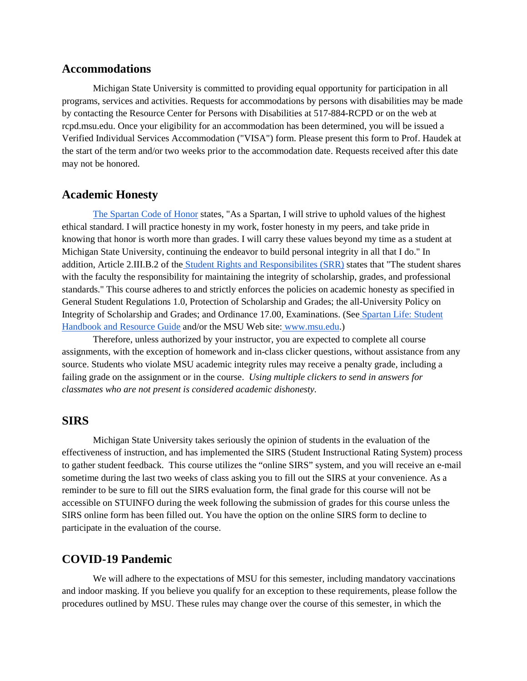#### **Accommodations**

Michigan State University is committed to providing equal opportunity for participation in all programs, services and activities. Requests for accommodations by persons with disabilities may be made by contacting the Resource Center for Persons with Disabilities at 517-884-RCPD or on the web at rcpd.msu.edu. Once your eligibility for an accommodation has been determined, you will be issued a Verified Individual Services Accommodation ("VISA") form. Please present this form to Prof. Haudek at the start of the term and/or two weeks prior to the accommodation date. Requests received after this date may not be honored.

#### **Academic Honesty**

[The Spartan Code of Honor](https://honorcode.msu.edu/) states, "As a Spartan, I will strive to uphold values of the highest ethical standard. I will practice honesty in my work, foster honesty in my peers, and take pride in knowing that honor is worth more than grades. I will carry these values beyond my time as a student at Michigan State University, continuing the endeavor to build personal integrity in all that I do." In addition, Article 2.III.B.2 of the [Student Rights and Responsibilites \(SRR\)](http://splife.studentlife.msu.edu/academic-freedom-for-students-at-michigan-state-university) states that "The student shares with the faculty the responsibility for maintaining the integrity of scholarship, grades, and professional standards." This course adheres to and strictly enforces the policies on academic honesty as specified in General Student Regulations 1.0, Protection of Scholarship and Grades; the all-University Policy on Integrity of Scholarship and Grades; and Ordinance 17.00, Examinations. (See [Spartan Life: Student](http://splife.studentlife.msu.edu/)  [Handbook and Resource Guide](http://splife.studentlife.msu.edu/) and/or the MSU Web site: [www.msu.edu.](http://www.msu.edu/))

Therefore, unless authorized by your instructor, you are expected to complete all course assignments, with the exception of homework and in-class clicker questions, without assistance from any source. Students who violate MSU academic integrity rules may receive a penalty grade, including a failing grade on the assignment or in the course. *Using multiple clickers to send in answers for classmates who are not present is considered academic dishonesty.*

#### **SIRS**

Michigan State University takes seriously the opinion of students in the evaluation of the effectiveness of instruction, and has implemented the SIRS (Student Instructional Rating System) process to gather student feedback. This course utilizes the "online SIRS" system, and you will receive an e-mail sometime during the last two weeks of class asking you to fill out the SIRS at your convenience. As a reminder to be sure to fill out the SIRS evaluation form, the final grade for this course will not be accessible on STUINFO during the week following the submission of grades for this course unless the SIRS online form has been filled out. You have the option on the online SIRS form to decline to participate in the evaluation of the course.

#### **COVID-19 Pandemic**

We will adhere to the expectations of MSU for this semester, including mandatory vaccinations and indoor masking. If you believe you qualify for an exception to these requirements, please follow the procedures outlined by MSU. These rules may change over the course of this semester, in which the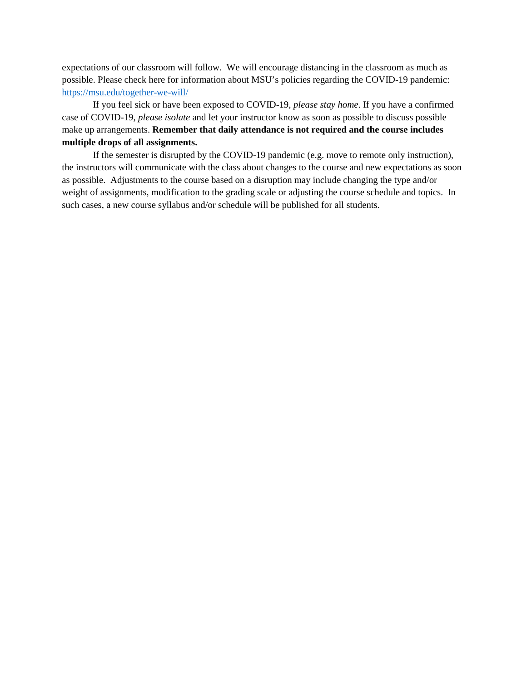expectations of our classroom will follow. We will encourage distancing in the classroom as much as possible. Please check here for information about MSU's policies regarding the COVID-19 pandemic: <https://msu.edu/together-we-will/>

If you feel sick or have been exposed to COVID-19, *please stay home*. If you have a confirmed case of COVID-19, *please isolate* and let your instructor know as soon as possible to discuss possible make up arrangements. **Remember that daily attendance is not required and the course includes multiple drops of all assignments.**

If the semester is disrupted by the COVID-19 pandemic (e.g. move to remote only instruction), the instructors will communicate with the class about changes to the course and new expectations as soon as possible. Adjustments to the course based on a disruption may include changing the type and/or weight of assignments, modification to the grading scale or adjusting the course schedule and topics. In such cases, a new course syllabus and/or schedule will be published for all students.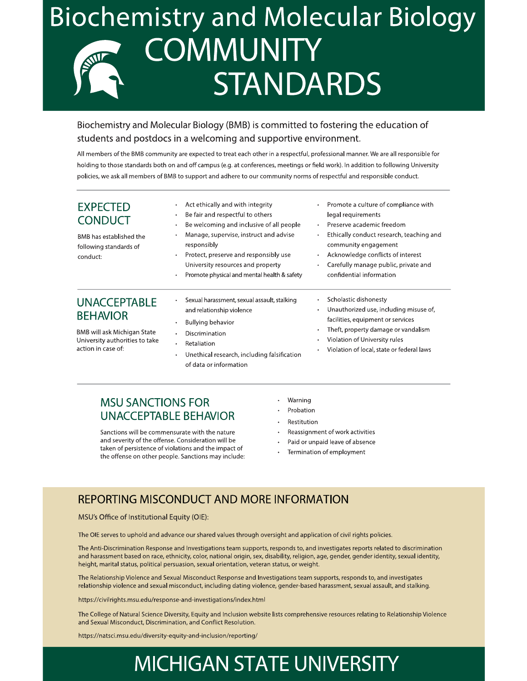# **Biochemistry and Molecular Biology COMMUNITY STANDARDS**

## Biochemistry and Molecular Biology (BMB) is committed to fostering the education of students and postdocs in a welcoming and supportive environment.

All members of the BMB community are expected to treat each other in a respectful, professional manner. We are all responsible for holding to those standards both on and off campus (e.g. at conferences, meetings or field work). In addition to following University policies, we ask all members of BMB to support and adhere to our community norms of respectful and responsible conduct.

| <b>EXPECTED</b><br><b>CONDUCT</b><br>BMB has established the<br>following standards of<br>conduct: | Act ethically and with integrity<br>Be fair and respectful to others<br>Be welcoming and inclusive of all people<br>$\bullet$<br>Manage, supervise, instruct and advise<br>responsibly<br>Protect, preserve and responsibly use<br>University resources and property<br>Promote physical and mental health & safety | Promote a culture of compliance with<br>$\bullet$<br>legal requirements<br>Preserve academic freedom<br>$\bullet$<br>Ethically conduct research, teaching and<br>$\bullet$<br>community engagement<br>Acknowledge conflicts of interest<br>$\bullet$<br>Carefully manage public, private and<br>٠<br>confidential information |
|----------------------------------------------------------------------------------------------------|---------------------------------------------------------------------------------------------------------------------------------------------------------------------------------------------------------------------------------------------------------------------------------------------------------------------|-------------------------------------------------------------------------------------------------------------------------------------------------------------------------------------------------------------------------------------------------------------------------------------------------------------------------------|
| <b>UNACCEPTABLE</b><br><b>BEHAVIOR</b>                                                             | Sexual harassment, sexual assault, stalking<br>and relationship violence<br>Bullying behavior                                                                                                                                                                                                                       | Scholastic dishonesty<br>$\bullet$<br>Unauthorized use, including misuse of,<br>$\bullet$<br>facilities, equipment or services                                                                                                                                                                                                |
| BMB will ask Michigan State<br>University authorities to take<br>action in case of:                | Discrimination<br>Retaliation<br>٠<br>Unethical research, including falsification<br>of data or information                                                                                                                                                                                                         | Theft, property damage or vandalism<br>٠<br>Violation of University rules<br>٠<br>Violation of local, state or federal laws<br>٠                                                                                                                                                                                              |

# **MSU SANCTIONS FOR UNACCEPTABLE BEHAVIOR**

Sanctions will be commensurate with the nature and severity of the offense. Consideration will be taken of persistence of violations and the impact of the offense on other people. Sanctions may include:

- Warning
- Probation
- Restitution
- Reassignment of work activities
- $\ddot{\phantom{a}}$ Paid or unpaid leave of absence
- Termination of employment

# **REPORTING MISCONDUCT AND MORE INFORMATION**

MSU's Office of Institutional Equity (OIE):

The OIE serves to uphold and advance our shared values through oversight and application of civil rights policies.

The Anti-Discrimination Response and Investigations team supports, responds to, and investigates reports related to discrimination and harassment based on race, ethnicity, color, national origin, sex, disability, religion, age, gender, gender identity, sexual identity, height, marital status, political persuasion, sexual orientation, veteran status, or weight.

The Relationship Violence and Sexual Misconduct Response and Investigations team supports, responds to, and investigates relationship violence and sexual misconduct, including dating violence, gender-based harassment, sexual assault, and stalking.

https://civilrights.msu.edu/response-and-investigations/index.html

The College of Natural Science Diversity, Equity and Inclusion website lists comprehensive resources relating to Relationship Violence and Sexual Misconduct, Discrimination, and Conflict Resolution.

https://natsci.msu.edu/diversity-equity-and-inclusion/reporting/

# **MICHIGAN STATE UNIVERSITY**